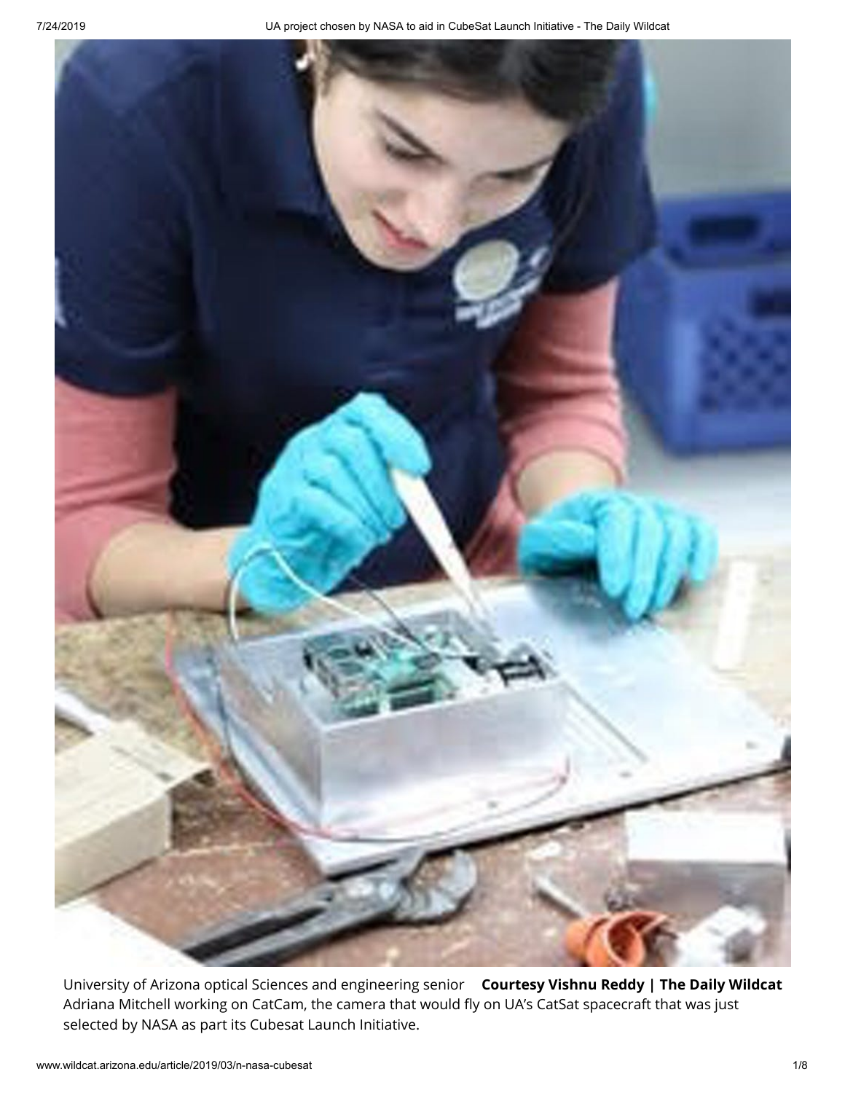

University of Arizona optical Sciences and engineering senior **[Courtesy Vishnu Reddy](http://www.wildcat.arizona.edu/staff/courtesy-vishnu-reddy) | The Daily Wildcat** Adriana Mitchell working on CatCam, the camera that would fly on UA's CatSat spacecraft that was just selected by NASA as part its Cubesat Launch Initiative.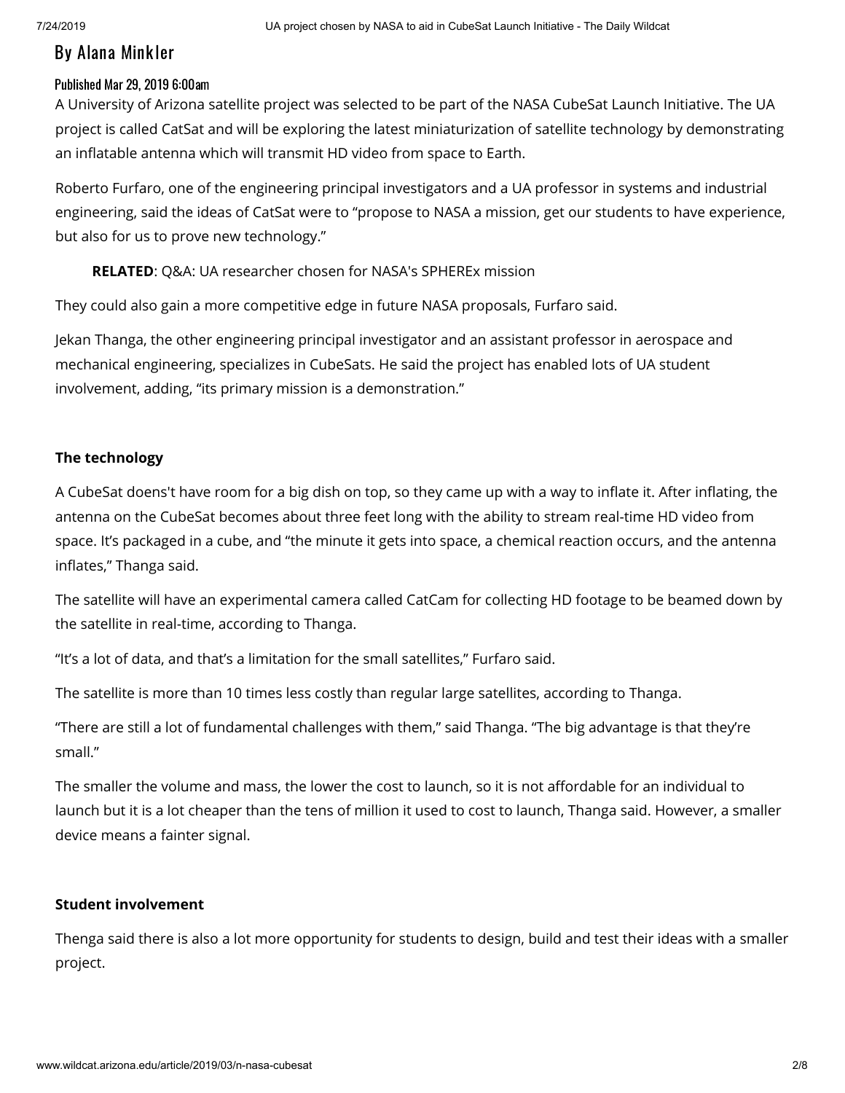### By [Alana](http://www.wildcat.arizona.edu/staff/alana_minkler) Mink ler

### Published Mar 29, 2019 6:00am

A University of Arizona satellite project was selected to be part of the NASA CubeSat Launch Initiative. The UA project is called CatSat and will be exploring the latest miniaturization of satellite technology by demonstrating an inflatable antenna which will transmit HD video from space to Earth.

Roberto Furfaro, one of the engineering principal investigators and a UA professor in systems and industrial engineering, said the ideas of CatSat were to "propose to NASA a mission, get our students to have experience, but also for us to prove new technology."

**RELATED**: [Q&A: UA researcher chosen for NASA's SPHEREx mission](http://www.wildcat.arizona.edu/article/2019/02/n-nasa-q-a)

They could also gain a more competitive edge in future NASA proposals, Furfaro said.

Jekan Thanga, the other engineering principal investigator and an assistant professor in aerospace and mechanical engineering, specializes in CubeSats. He said the project has enabled lots of UA student involvement, adding, "its primary mission is a demonstration."

#### **The technology**

A CubeSat doens't have room for a big dish on top, so they came up with a way to inflate it. After inflating, the antenna on the CubeSat becomes about three feet long with the ability to stream real-time HD video from space. It's packaged in a cube, and "the minute it gets into space, a chemical reaction occurs, and the antenna inflates," Thanga said.

The satellite will have an experimental camera called CatCam for collecting HD footage to be beamed down by the satellite in real-time, according to Thanga.

"It's a lot of data, and that's a limitation for the small satellites," Furfaro said.

The satellite is more than 10 times less costly than regular large satellites, according to Thanga.

"There are still a lot of fundamental challenges with them," said Thanga. "The big advantage is that they're small."

The smaller the volume and mass, the lower the cost to launch, so it is not affordable for an individual to launch but it is a lot cheaper than the tens of million it used to cost to launch, Thanga said. However, a smaller device means a fainter signal.

#### **Student involvement**

Thenga said there is also a lot more opportunity for students to design, build and test their ideas with a smaller project.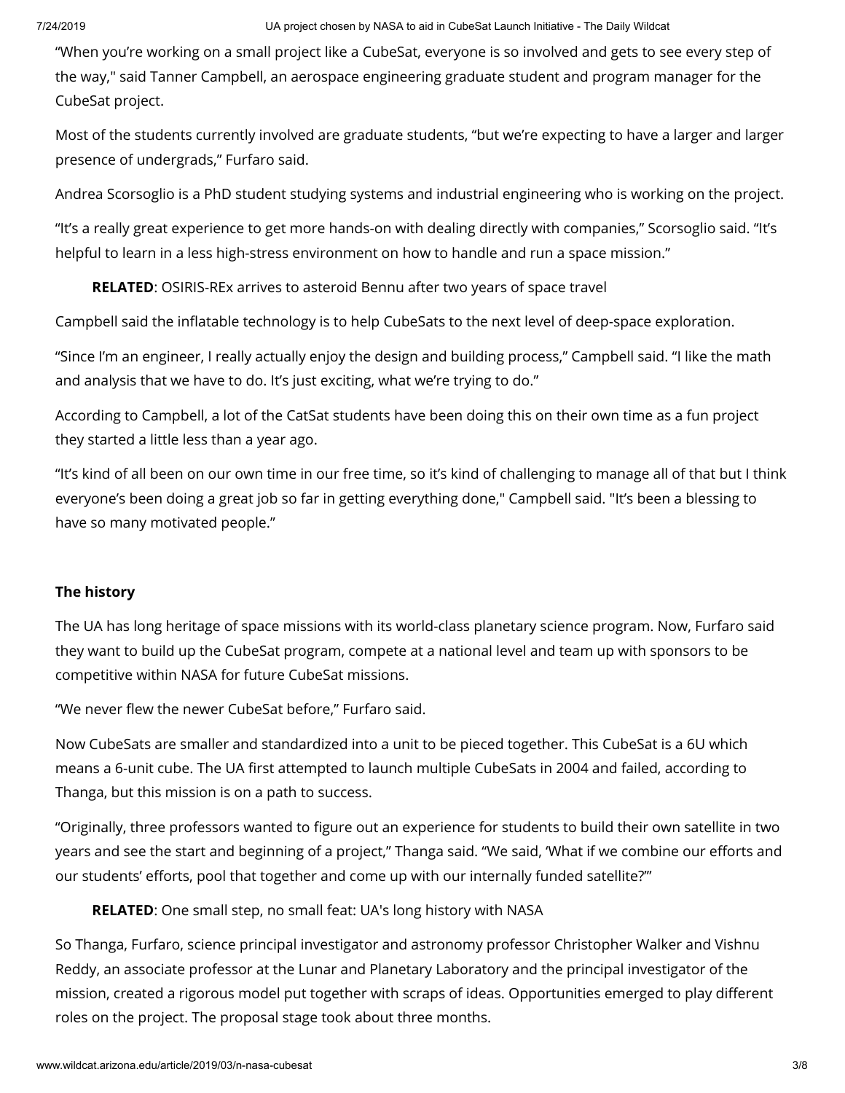"When you're working on a small project like a CubeSat, everyone is so involved and gets to see every step of the way," said Tanner Campbell, an aerospace engineering graduate student and program manager for the CubeSat project.

Most of the students currently involved are graduate students, "but we're expecting to have a larger and larger presence of undergrads," Furfaro said.

Andrea Scorsoglio is a PhD student studying systems and industrial engineering who is working on the project.

"It's a really great experience to get more hands-on with dealing directly with companies," Scorsoglio said. "It's helpful to learn in a less high-stress environment on how to handle and run a space mission."

**RELATED**: [OSIRIS-REx arrives to asteroid Bennu after two years of space travel](http://www.wildcat.arizona.edu/article/2018/12/n-osiris-rex-bennu)

Campbell said the inflatable technology is to help CubeSats to the next level of deep-space exploration.

"Since I'm an engineer, I really actually enjoy the design and building process," Campbell said. "I like the math and analysis that we have to do. It's just exciting, what we're trying to do."

According to Campbell, a lot of the CatSat students have been doing this on their own time as a fun project they started a little less than a year ago.

"It's kind of all been on our own time in our free time, so it's kind of challenging to manage all of that but I think everyone's been doing a great job so far in getting everything done," Campbell said. "It's been a blessing to have so many motivated people."

#### **The history**

The UA has long heritage of space missions with its world-class planetary science program. Now, Furfaro said they want to build up the CubeSat program, compete at a national level and team up with sponsors to be competitive within NASA for future CubeSat missions.

"We never flew the newer CubeSat before," Furfaro said.

Now CubeSats are smaller and standardized into a unit to be pieced together. This CubeSat is a 6U which means a 6-unit cube. The UA first attempted to launch multiple CubeSats in 2004 and failed, according to Thanga, but this mission is on a path to success.

"Originally, three professors wanted to figure out an experience for students to build their own satellite in two years and see the start and beginning of a project," Thanga said. "We said, 'What if we combine our efforts and our students' efforts, pool that together and come up with our internally funded satellite?"

**RELATED**: [One small step, no small feat: UA's long history with NASA](http://www.wildcat.arizona.edu/article/2018/09/n-nasa-missions)

So Thanga, Furfaro, science principal investigator and astronomy professor Christopher Walker and Vishnu Reddy, an associate professor at the Lunar and Planetary Laboratory and the principal investigator of the mission, created a rigorous model put together with scraps of ideas. Opportunities emerged to play different roles on the project. The proposal stage took about three months.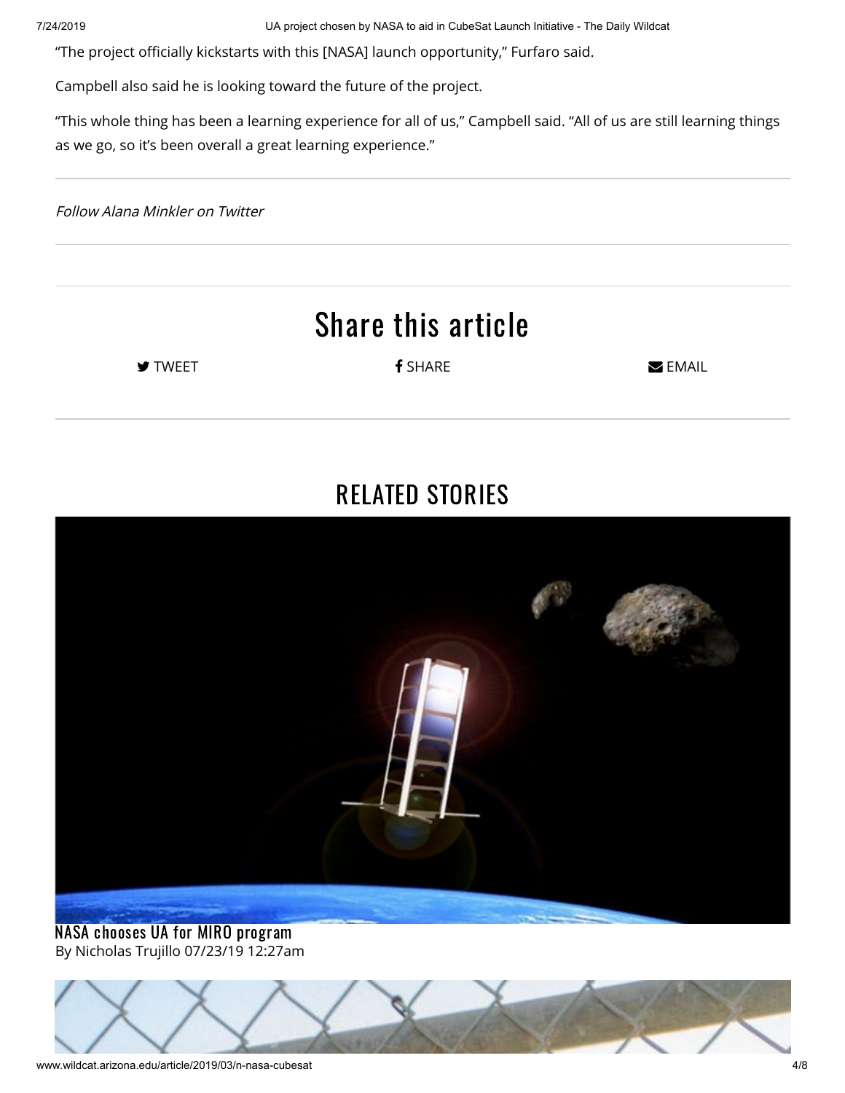7/24/2019 UA project chosen by NASA to aid in CubeSat Launch Initiative - The Daily Wildcat

"The project officially kickstarts with this [NASA] launch opportunity," Furfaro said.

Campbell also said he is looking toward the future of the project.

"This whole thing has been a learning experience for all of us," Campbell said. "All of us are still learning things as we go, so it's been overall a great learning experience."

Follow Alana Minkler on [Twitter](https://twitter.com/alana_minkler?lang=en)

# Share this article

 $\blacktriangleright$  [TWEET](http://twitter.com/intent/tweet?url=http://www.wildcat.arizona.edu/article/2019/03/n-nasa-cubesat&text=UA%20project%20chosen%20by%20NASA%20to%20aid%20in%20CubeSat%20Launch%20Initiative)  $\blacktriangleright$  TWEET  $\blacktriangleright$   $\blacktriangleright$   $\blacktriangleright$   $\blacktriangleright$   $\blacktriangleright$   $\blacktriangleright$   $\blacktriangleright$   $\blacktriangleright$   $\blacktriangleright$   $\blacktriangleright$   $\blacktriangleright$   $\blacktriangleright$   $\blacktriangleright$   $\blacktriangleright$   $\blacktriangleright$   $\blacktriangleright$   $\blacktriangleright$   $\blacktriangleright$   $\blacktriangleright$   $\blacktriangleright$   $\blacktriangleright$   $\blacktriangleright$   $\blacktriangleright$   $\blacktriangleright$ 

## RELATED STORIES



NASA chooses UA for MIRO [program](http://www.wildcat.arizona.edu/article/2019/07/n-nasa) By [Nicholas Trujillo](http://www.wildcat.arizona.edu/staff/nicholas-trujillo) 07/23/19 12:27am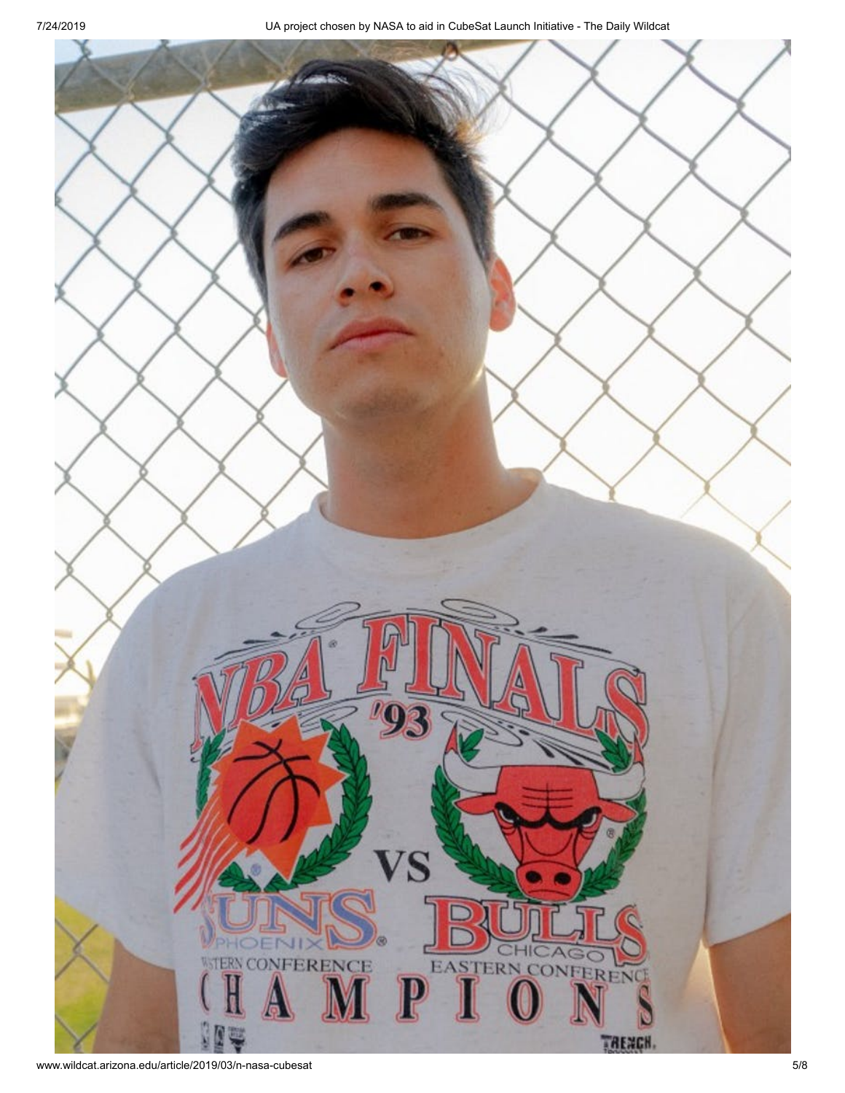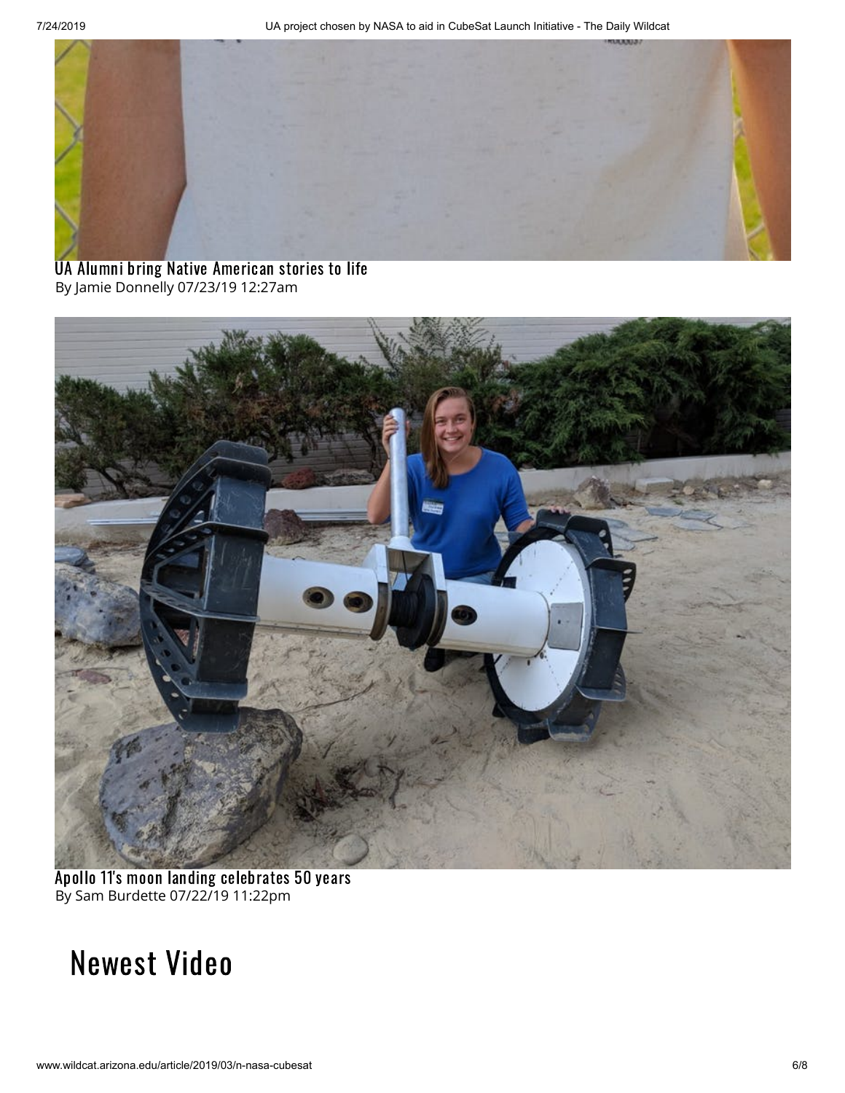

UA Alumni bring Native [American](http://www.wildcat.arizona.edu/article/2019/07/n-native-american-stories) stories to life By [Jamie Donnelly 0](http://www.wildcat.arizona.edu/staff/jamie-donnelly)7/23/19 12:27am



Apollo 11's moon landing [celebrates](http://www.wildcat.arizona.edu/article/2019/07/n-50th-anniversary-apollo) 50 years By [Sam Burdette](http://www.wildcat.arizona.edu/staff/sam_burdette) 07/22/19 11:22pm

# [Newest](http://www.wildcat.arizona.edu/multimedia/video) Video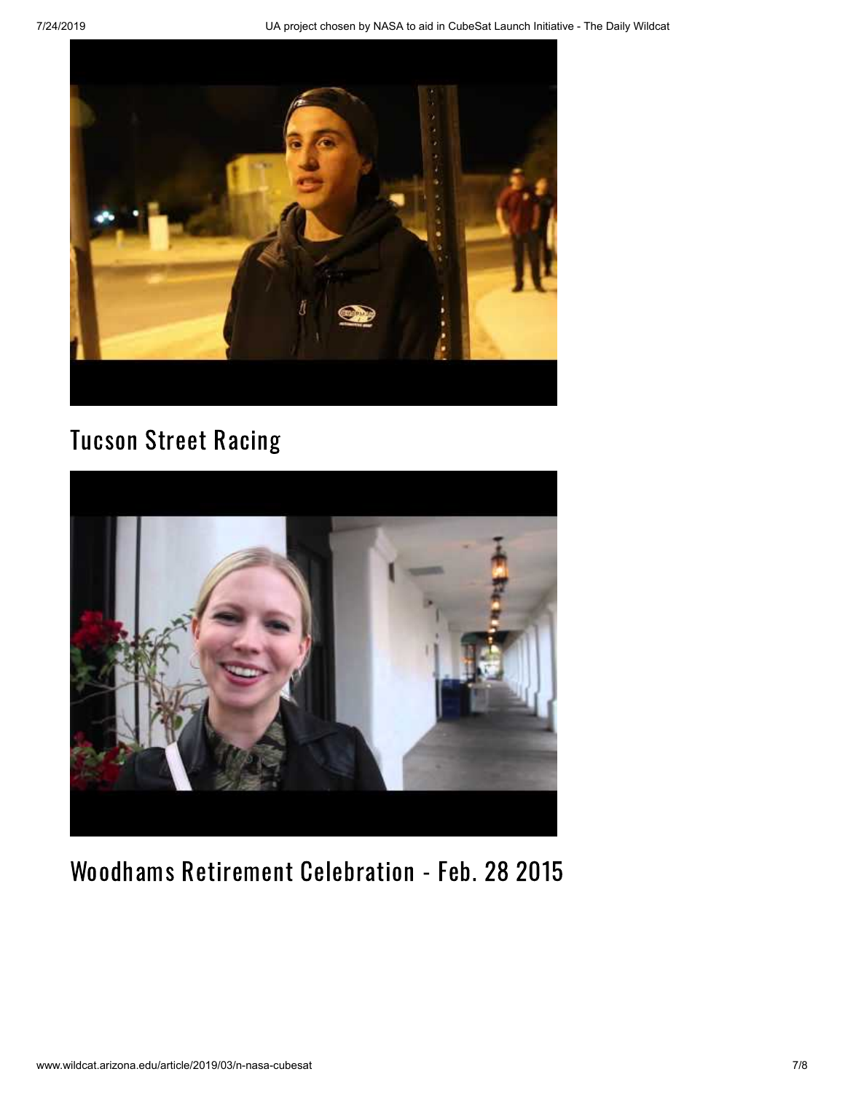

## [Tucson](http://www.wildcat.arizona.edu/multimedia/luZ80aTksbg) Street Racing



Woodhams Retirement [Celebration](http://www.wildcat.arizona.edu/multimedia/VWHpMvxvkeM) - Feb. 28 2015